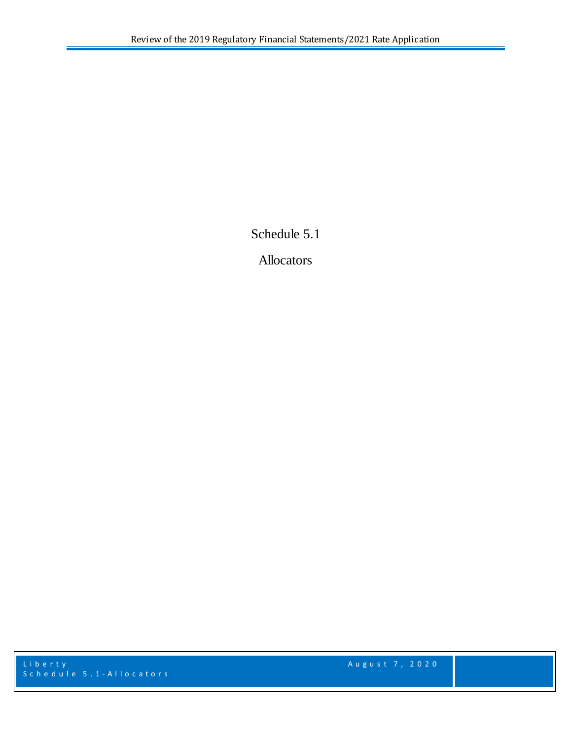Schedule 5.1

Allocators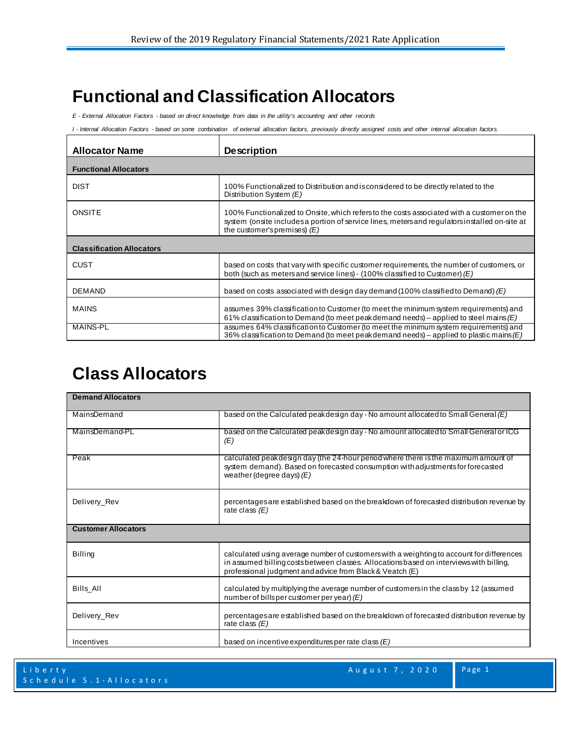## **Functional and Classification Allocators**

*E - External Allocation Factors - based on direct knowledge from data in the utility's accounting and other records*

*I - Internal Allocation Factors - based on some combination of external allocation factors, previously directly assigned costs and other internal allocation factors.*

| <b>Allocator Name</b>            | <b>Description</b>                                                                                                                                                                                                            |  |
|----------------------------------|-------------------------------------------------------------------------------------------------------------------------------------------------------------------------------------------------------------------------------|--|
| <b>Functional Allocators</b>     |                                                                                                                                                                                                                               |  |
| <b>DIST</b>                      | 100% Functionalized to Distribution and is considered to be directly related to the<br>Distribution System $(E)$                                                                                                              |  |
| <b>ONSITE</b>                    | 100% Functionalized to Onsite, which refersto the costs associated with a customer on the<br>system (onsite includes a portion of service lines, meters and regulators installed on-site at<br>the customer's premises) $(E)$ |  |
| <b>Classification Allocators</b> |                                                                                                                                                                                                                               |  |
| CUST                             | based on costs that vary with specific customer requirements, the number of customers, or<br>both (such as meters and service lines) - (100% classified to Customer) $(E)$                                                    |  |
| <b>DEMAND</b>                    | based on costs associated with design day demand (100% classified to Demand) $(E)$                                                                                                                                            |  |
| <b>MAINS</b>                     | assumes 39% classification to Customer (to meet the minimum system requirements) and<br>61% classification to Demand (to meet peakdemand needs) – applied to steel mains $(E)$                                                |  |
| <b>MAINS-PL</b>                  | assumes 64% classification to Customer (to meet the minimum system requirements) and<br>36% classification to Demand (to meet peakdemand needs) – applied to plastic mains $(E)$                                              |  |

## **Class Allocators**

| <b>Demand Allocators</b>   |                                                                                                                                                                                                                                                 |  |
|----------------------------|-------------------------------------------------------------------------------------------------------------------------------------------------------------------------------------------------------------------------------------------------|--|
| MainsDemand                | based on the Calculated peak design day - No amount allocated to Small General $(E)$                                                                                                                                                            |  |
| MainsDemand-PL             | based on the Calculated peak design day - No amount allocated to Small General or ICG<br>(E)                                                                                                                                                    |  |
| Peak                       | calculated peak design day (the 24-hour period where there is the maximum amount of<br>system demand). Based on forecasted consumption with adjustments for forecasted<br>weather (degree days) $(E)$                                           |  |
| Delivery_Rev               | percentages are established based on the breakdown of forecasted distribution revenue by<br>rate class $(E)$                                                                                                                                    |  |
| <b>Customer Allocators</b> |                                                                                                                                                                                                                                                 |  |
| <b>Billing</b>             | calculated using average number of customers with a weighting to account for differences<br>in assumed billing costs between classes. Allocations based on interviews with billing,<br>professional judgment and advice from Black & Veatch (E) |  |
| Bills_All                  | calculated by multiplying the average number of customers in the class by 12 (assumed<br>number of billsper customer per year) $(E)$                                                                                                            |  |
| Delivery_Rev               | percentages are established based on the breakdown of forecasted distribution revenue by<br>rate class $(E)$                                                                                                                                    |  |
| Incentives                 | based on incentive expenditures per rate class $(E)$                                                                                                                                                                                            |  |